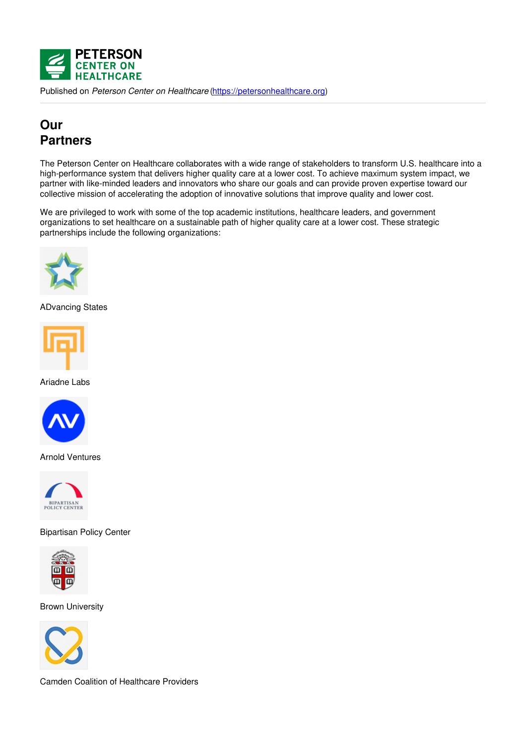

Published on *Peterson Center on Healthcare* [\(https://petersonhealthcare.org](https://petersonhealthcare.org))

## **Our Partners**

The Peterson Center on Healthcare collaborates with a wide range of stakeholders to transform U.S. healthcare into a high-performance system that delivers higher quality care at a lower cost. To achieve maximum system impact, we partner with like-minded leaders and innovators who share our goals and can provide proven expertise toward our collective mission of accelerating the adoption of innovative solutions that improve quality and lower cost.

We are privileged to work with some of the top academic institutions, healthcare leaders, and government organizations to set healthcare on a sustainable path of higher quality care at a lower cost. These strategic partnerships include the following organizations:



ADvancing States



Ariadne Labs



Arnold Ventures



Bipartisan Policy Center



Brown University



Camden Coalition of Healthcare Providers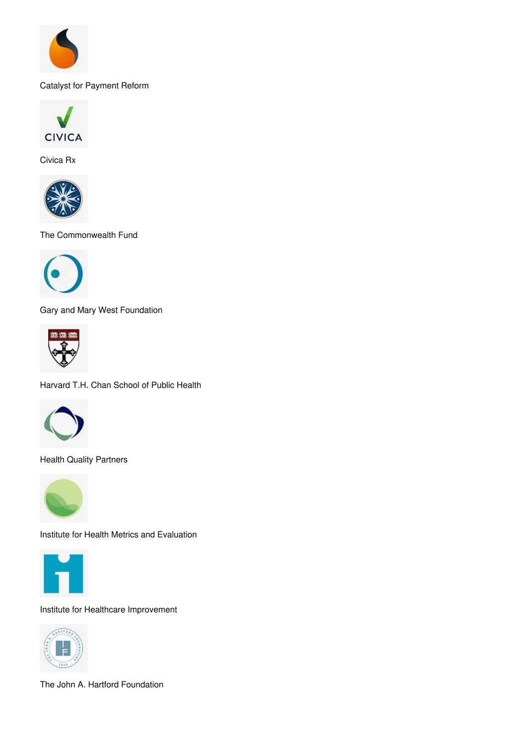

## Catalyst for Payment Reform



Civica Rx



The Commonwealth Fund



Gary and Mary West Foundation



Harvard T.H. Chan School of Public Health



Health Quality Partners



Institute for Health Metrics and Evaluation



Institute for Healthcare Improvement



The John A. Hartford Foundation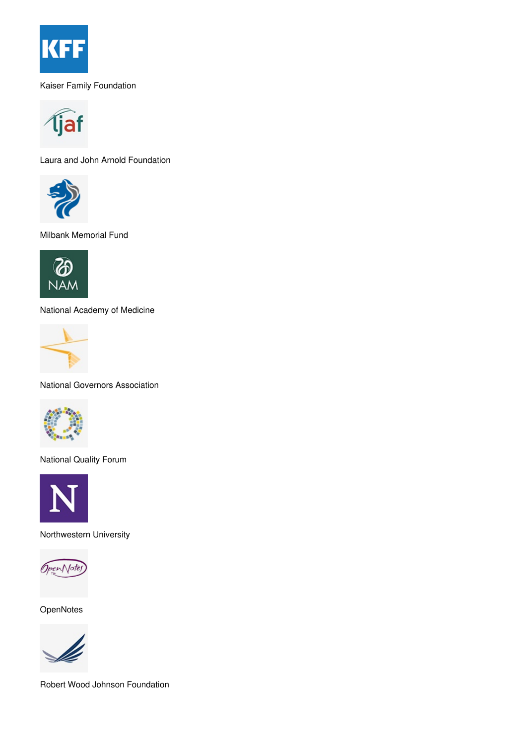

Kaiser Family Foundation



Laura and John Arnold Foundation



Milbank Memorial Fund



National Academy of Medicine



National Governors Association



National Quality Forum



Northwestern University



**OpenNotes** 



Robert Wood Johnson Foundation